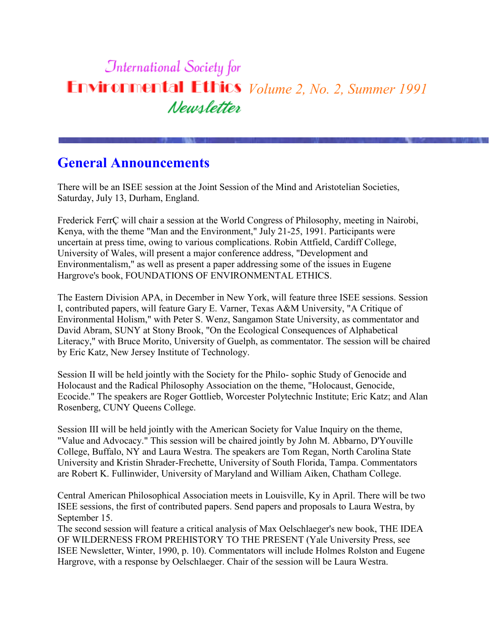# **International Society for Environmental Ethics** *Volume 2, No. 2, Summer 1991* Newsletter

#### **General Announcements**

There will be an ISEE session at the Joint Session of the Mind and Aristotelian Societies, Saturday, July 13, Durham, England.

Frederick FerrÇ will chair a session at the World Congress of Philosophy, meeting in Nairobi, Kenya, with the theme "Man and the Environment," July 21-25, 1991. Participants were uncertain at press time, owing to various complications. Robin Attfield, Cardiff College, University of Wales, will present a major conference address, "Development and Environmentalism," as well as present a paper addressing some of the issues in Eugene Hargrove's book, FOUNDATIONS OF ENVIRONMENTAL ETHICS.

The Eastern Division APA, in December in New York, will feature three ISEE sessions. Session I, contributed papers, will feature Gary E. Varner, Texas A&M University, "A Critique of Environmental Holism," with Peter S. Wenz, Sangamon State University, as commentator and David Abram, SUNY at Stony Brook, "On the Ecological Consequences of Alphabetical Literacy," with Bruce Morito, University of Guelph, as commentator. The session will be chaired by Eric Katz, New Jersey Institute of Technology.

Session II will be held jointly with the Society for the Philo- sophic Study of Genocide and Holocaust and the Radical Philosophy Association on the theme, "Holocaust, Genocide, Ecocide." The speakers are Roger Gottlieb, Worcester Polytechnic Institute; Eric Katz; and Alan Rosenberg, CUNY Queens College.

Session III will be held jointly with the American Society for Value Inquiry on the theme, "Value and Advocacy." This session will be chaired jointly by John M. Abbarno, D'Youville College, Buffalo, NY and Laura Westra. The speakers are Tom Regan, North Carolina State University and Kristin Shrader-Frechette, University of South Florida, Tampa. Commentators are Robert K. Fullinwider, University of Maryland and William Aiken, Chatham College.

Central American Philosophical Association meets in Louisville, Ky in April. There will be two ISEE sessions, the first of contributed papers. Send papers and proposals to Laura Westra, by September 15.

The second session will feature a critical analysis of Max Oelschlaeger's new book, THE IDEA OF WILDERNESS FROM PREHISTORY TO THE PRESENT (Yale University Press, see ISEE Newsletter, Winter, 1990, p. 10). Commentators will include Holmes Rolston and Eugene Hargrove, with a response by Oelschlaeger. Chair of the session will be Laura Westra.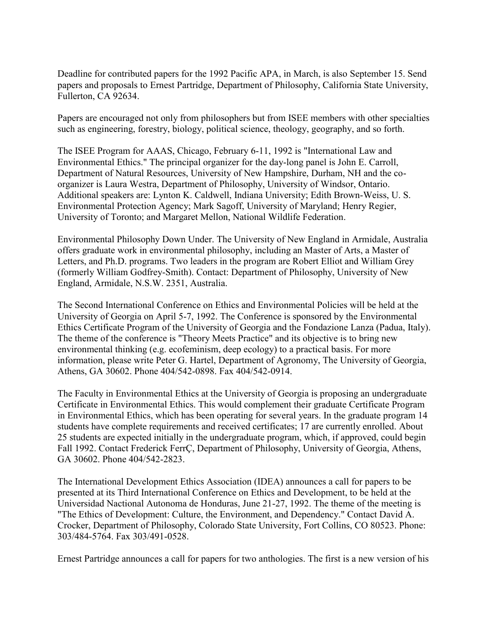Deadline for contributed papers for the 1992 Pacific APA, in March, is also September 15. Send papers and proposals to Ernest Partridge, Department of Philosophy, California State University, Fullerton, CA 92634.

Papers are encouraged not only from philosophers but from ISEE members with other specialties such as engineering, forestry, biology, political science, theology, geography, and so forth.

The ISEE Program for AAAS, Chicago, February 6-11, 1992 is "International Law and Environmental Ethics." The principal organizer for the day-long panel is John E. Carroll, Department of Natural Resources, University of New Hampshire, Durham, NH and the coorganizer is Laura Westra, Department of Philosophy, University of Windsor, Ontario. Additional speakers are: Lynton K. Caldwell, Indiana University; Edith Brown-Weiss, U. S. Environmental Protection Agency; Mark Sagoff, University of Maryland; Henry Regier, University of Toronto; and Margaret Mellon, National Wildlife Federation.

Environmental Philosophy Down Under. The University of New England in Armidale, Australia offers graduate work in environmental philosophy, including an Master of Arts, a Master of Letters, and Ph.D. programs. Two leaders in the program are Robert Elliot and William Grey (formerly William Godfrey-Smith). Contact: Department of Philosophy, University of New England, Armidale, N.S.W. 2351, Australia.

The Second International Conference on Ethics and Environmental Policies will be held at the University of Georgia on April 5-7, 1992. The Conference is sponsored by the Environmental Ethics Certificate Program of the University of Georgia and the Fondazione Lanza (Padua, Italy). The theme of the conference is "Theory Meets Practice" and its objective is to bring new environmental thinking (e.g. ecofeminism, deep ecology) to a practical basis. For more information, please write Peter G. Hartel, Department of Agronomy, The University of Georgia, Athens, GA 30602. Phone 404/542-0898. Fax 404/542-0914.

The Faculty in Environmental Ethics at the University of Georgia is proposing an undergraduate Certificate in Environmental Ethics. This would complement their graduate Certificate Program in Environmental Ethics, which has been operating for several years. In the graduate program 14 students have complete requirements and received certificates; 17 are currently enrolled. About 25 students are expected initially in the undergraduate program, which, if approved, could begin Fall 1992. Contact Frederick FerrÇ, Department of Philosophy, University of Georgia, Athens, GA 30602. Phone 404/542-2823.

The International Development Ethics Association (IDEA) announces a call for papers to be presented at its Third International Conference on Ethics and Development, to be held at the Universidad Nactional Autonoma de Honduras, June 21-27, 1992. The theme of the meeting is "The Ethics of Development: Culture, the Environment, and Dependency." Contact David A. Crocker, Department of Philosophy, Colorado State University, Fort Collins, CO 80523. Phone: 303/484-5764. Fax 303/491-0528.

Ernest Partridge announces a call for papers for two anthologies. The first is a new version of his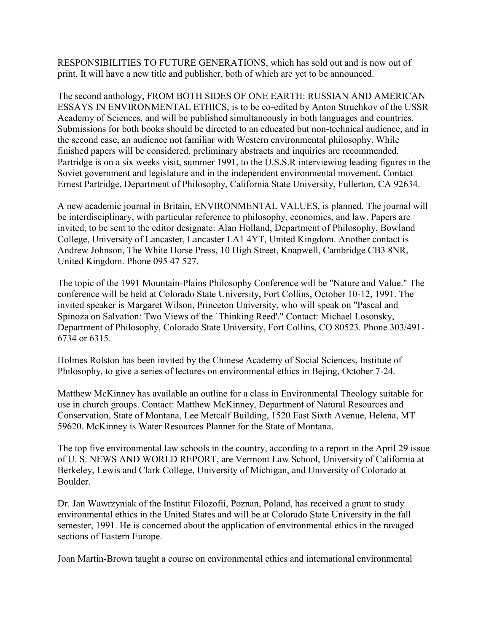RESPONSIBILITIES TO FUTURE GENERATIONS, which has sold out and is now out of print. It will have a new title and publisher, both of which are yet to be announced.

The second anthology, FROM BOTH SIDES OF ONE EARTH: RUSSIAN AND AMERICAN ESSAYS IN ENVIRONMENTAL ETHICS, is to be co-edited by Anton Struchkov of the USSR Academy of Sciences, and will be published simultaneously in both languages and countries. Submissions for both books should be directed to an educated but non-technical audience, and in the second case, an audience not familiar with Western environmental philosophy. While finished papers will be considered, preliminary abstracts and inquiries are recommended. Partridge is on a six weeks visit, summer 1991, to the U.S.S.R interviewing leading figures in the Soviet government and legislature and in the independent environmental movement. Contact Ernest Partridge, Department of Philosophy, California State University, Fullerton, CA 92634.

A new academic journal in Britain, ENVIRONMENTAL VALUES, is planned. The journal will be interdisciplinary, with particular reference to philosophy, economics, and law. Papers are invited, to be sent to the editor designate: Alan Holland, Department of Philosophy, Bowland College, University of Lancaster, Lancaster LA1 4YT, United Kingdom. Another contact is Andrew Johnson, The White Horse Press, 10 High Street, Knapwell, Cambridge CB3 8NR, United Kingdom. Phone 095 47 527.

The topic of the 1991 Mountain-Plains Philosophy Conference will be "Nature and Value." The conference will be held at Colorado State University, Fort Collins, October 10-12, 1991. The invited speaker is Margaret Wilson, Princeton University, who will speak on "Pascal and Spinoza on Salvation: Two Views of the `Thinking Reed'." Contact: Michael Losonsky, Department of Philosophy, Colorado State University, Fort Collins, CO 80523. Phone 303/491- 6734 or 6315.

Holmes Rolston has been invited by the Chinese Academy of Social Sciences, Institute of Philosophy, to give a series of lectures on environmental ethics in Bejing, October 7-24.

Matthew McKinney has available an outline for a class in Environmental Theology suitable for use in church groups. Contact: Matthew McKinney, Department of Natural Resources and Conservation, State of Montana, Lee Metcalf Building, 1520 East Sixth Avenue, Helena, MT 59620. McKinney is Water Resources Planner for the State of Montana.

The top five environmental law schools in the country, according to a report in the April 29 issue of U. S. NEWS AND WORLD REPORT, are Vermont Law School, University of California at Berkeley, Lewis and Clark College, University of Michigan, and University of Colorado at Boulder.

Dr. Jan Wawrzyniak of the Institut Filozofii, Poznan, Poland, has received a grant to study environmental ethics in the United States and will be at Colorado State University in the fall semester, 1991. He is concerned about the application of environmental ethics in the ravaged sections of Eastern Europe.

Joan Martin-Brown taught a course on environmental ethics and international environmental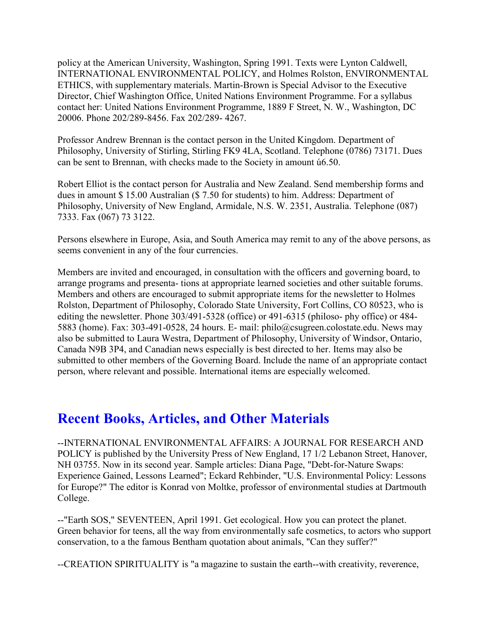policy at the American University, Washington, Spring 1991. Texts were Lynton Caldwell, INTERNATIONAL ENVIRONMENTAL POLICY, and Holmes Rolston, ENVIRONMENTAL ETHICS, with supplementary materials. Martin-Brown is Special Advisor to the Executive Director, Chief Washington Office, United Nations Environment Programme. For a syllabus contact her: United Nations Environment Programme, 1889 F Street, N. W., Washington, DC 20006. Phone 202/289-8456. Fax 202/289- 4267.

Professor Andrew Brennan is the contact person in the United Kingdom. Department of Philosophy, University of Stirling, Stirling FK9 4LA, Scotland. Telephone (0786) 73171. Dues can be sent to Brennan, with checks made to the Society in amount ú6.50.

Robert Elliot is the contact person for Australia and New Zealand. Send membership forms and dues in amount \$ 15.00 Australian (\$ 7.50 for students) to him. Address: Department of Philosophy, University of New England, Armidale, N.S. W. 2351, Australia. Telephone (087) 7333. Fax (067) 73 3122.

Persons elsewhere in Europe, Asia, and South America may remit to any of the above persons, as seems convenient in any of the four currencies.

Members are invited and encouraged, in consultation with the officers and governing board, to arrange programs and presenta- tions at appropriate learned societies and other suitable forums. Members and others are encouraged to submit appropriate items for the newsletter to Holmes Rolston, Department of Philosophy, Colorado State University, Fort Collins, CO 80523, who is editing the newsletter. Phone 303/491-5328 (office) or 491-6315 (philoso- phy office) or 484- 5883 (home). Fax: 303-491-0528, 24 hours. E- mail: philo@csugreen.colostate.edu. News may also be submitted to Laura Westra, Department of Philosophy, University of Windsor, Ontario, Canada N9B 3P4, and Canadian news especially is best directed to her. Items may also be submitted to other members of the Governing Board. Include the name of an appropriate contact person, where relevant and possible. International items are especially welcomed.

#### **Recent Books, Articles, and Other Materials**

--INTERNATIONAL ENVIRONMENTAL AFFAIRS: A JOURNAL FOR RESEARCH AND POLICY is published by the University Press of New England, 17 1/2 Lebanon Street, Hanover, NH 03755. Now in its second year. Sample articles: Diana Page, "Debt-for-Nature Swaps: Experience Gained, Lessons Learned"; Eckard Rehbinder, "U.S. Environmental Policy: Lessons for Europe?" The editor is Konrad von Moltke, professor of environmental studies at Dartmouth College.

--"Earth SOS," SEVENTEEN, April 1991. Get ecological. How you can protect the planet. Green behavior for teens, all the way from environmentally safe cosmetics, to actors who support conservation, to a the famous Bentham quotation about animals, "Can they suffer?"

--CREATION SPIRITUALITY is "a magazine to sustain the earth--with creativity, reverence,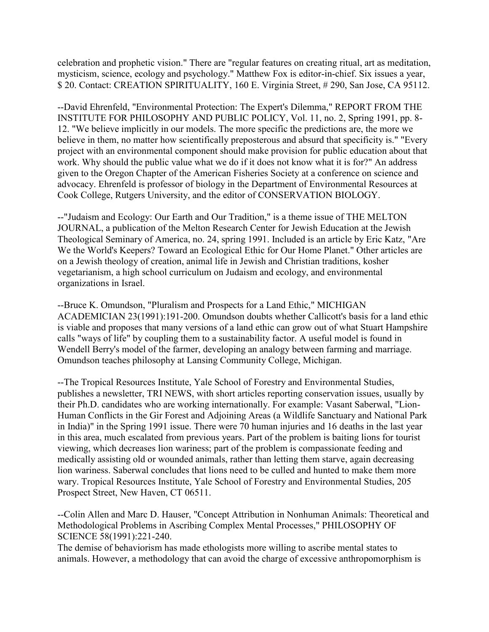celebration and prophetic vision." There are "regular features on creating ritual, art as meditation, mysticism, science, ecology and psychology." Matthew Fox is editor-in-chief. Six issues a year, \$ 20. Contact: CREATION SPIRITUALITY, 160 E. Virginia Street, # 290, San Jose, CA 95112.

--David Ehrenfeld, "Environmental Protection: The Expert's Dilemma," REPORT FROM THE INSTITUTE FOR PHILOSOPHY AND PUBLIC POLICY, Vol. 11, no. 2, Spring 1991, pp. 8- 12. "We believe implicitly in our models. The more specific the predictions are, the more we believe in them, no matter how scientifically preposterous and absurd that specificity is." "Every project with an environmental component should make provision for public education about that work. Why should the public value what we do if it does not know what it is for?" An address given to the Oregon Chapter of the American Fisheries Society at a conference on science and advocacy. Ehrenfeld is professor of biology in the Department of Environmental Resources at Cook College, Rutgers University, and the editor of CONSERVATION BIOLOGY.

--"Judaism and Ecology: Our Earth and Our Tradition," is a theme issue of THE MELTON JOURNAL, a publication of the Melton Research Center for Jewish Education at the Jewish Theological Seminary of America, no. 24, spring 1991. Included is an article by Eric Katz, "Are We the World's Keepers? Toward an Ecological Ethic for Our Home Planet." Other articles are on a Jewish theology of creation, animal life in Jewish and Christian traditions, kosher vegetarianism, a high school curriculum on Judaism and ecology, and environmental organizations in Israel.

--Bruce K. Omundson, "Pluralism and Prospects for a Land Ethic," MICHIGAN ACADEMICIAN 23(1991):191-200. Omundson doubts whether Callicott's basis for a land ethic is viable and proposes that many versions of a land ethic can grow out of what Stuart Hampshire calls "ways of life" by coupling them to a sustainability factor. A useful model is found in Wendell Berry's model of the farmer, developing an analogy between farming and marriage. Omundson teaches philosophy at Lansing Community College, Michigan.

--The Tropical Resources Institute, Yale School of Forestry and Environmental Studies, publishes a newsletter, TRI NEWS, with short articles reporting conservation issues, usually by their Ph.D. candidates who are working internationally. For example: Vasant Saberwal, "Lion-Human Conflicts in the Gir Forest and Adjoining Areas (a Wildlife Sanctuary and National Park in India)" in the Spring 1991 issue. There were 70 human injuries and 16 deaths in the last year in this area, much escalated from previous years. Part of the problem is baiting lions for tourist viewing, which decreases lion wariness; part of the problem is compassionate feeding and medically assisting old or wounded animals, rather than letting them starve, again decreasing lion wariness. Saberwal concludes that lions need to be culled and hunted to make them more wary. Tropical Resources Institute, Yale School of Forestry and Environmental Studies, 205 Prospect Street, New Haven, CT 06511.

--Colin Allen and Marc D. Hauser, "Concept Attribution in Nonhuman Animals: Theoretical and Methodological Problems in Ascribing Complex Mental Processes," PHILOSOPHY OF SCIENCE 58(1991):221-240.

The demise of behaviorism has made ethologists more willing to ascribe mental states to animals. However, a methodology that can avoid the charge of excessive anthropomorphism is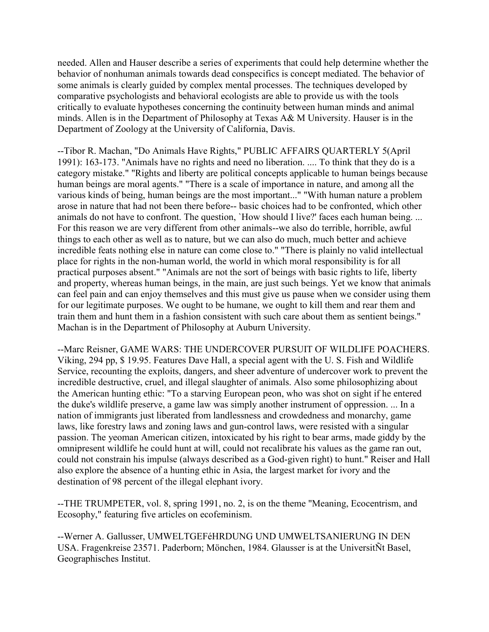needed. Allen and Hauser describe a series of experiments that could help determine whether the behavior of nonhuman animals towards dead conspecifics is concept mediated. The behavior of some animals is clearly guided by complex mental processes. The techniques developed by comparative psychologists and behavioral ecologists are able to provide us with the tools critically to evaluate hypotheses concerning the continuity between human minds and animal minds. Allen is in the Department of Philosophy at Texas A& M University. Hauser is in the Department of Zoology at the University of California, Davis.

--Tibor R. Machan, "Do Animals Have Rights," PUBLIC AFFAIRS QUARTERLY 5(April 1991): 163-173. "Animals have no rights and need no liberation. .... To think that they do is a category mistake." "Rights and liberty are political concepts applicable to human beings because human beings are moral agents." "There is a scale of importance in nature, and among all the various kinds of being, human beings are the most important..." "With human nature a problem arose in nature that had not been there before-- basic choices had to be confronted, which other animals do not have to confront. The question, `How should I live?' faces each human being. ... For this reason we are very different from other animals--we also do terrible, horrible, awful things to each other as well as to nature, but we can also do much, much better and achieve incredible feats nothing else in nature can come close to." "There is plainly no valid intellectual place for rights in the non-human world, the world in which moral responsibility is for all practical purposes absent." "Animals are not the sort of beings with basic rights to life, liberty and property, whereas human beings, in the main, are just such beings. Yet we know that animals can feel pain and can enjoy themselves and this must give us pause when we consider using them for our legitimate purposes. We ought to be humane, we ought to kill them and rear them and train them and hunt them in a fashion consistent with such care about them as sentient beings." Machan is in the Department of Philosophy at Auburn University.

--Marc Reisner, GAME WARS: THE UNDERCOVER PURSUIT OF WILDLIFE POACHERS. Viking, 294 pp, \$ 19.95. Features Dave Hall, a special agent with the U. S. Fish and Wildlife Service, recounting the exploits, dangers, and sheer adventure of undercover work to prevent the incredible destructive, cruel, and illegal slaughter of animals. Also some philosophizing about the American hunting ethic: "To a starving European peon, who was shot on sight if he entered the duke's wildlife preserve, a game law was simply another instrument of oppression. ... In a nation of immigrants just liberated from landlessness and crowdedness and monarchy, game laws, like forestry laws and zoning laws and gun-control laws, were resisted with a singular passion. The yeoman American citizen, intoxicated by his right to bear arms, made giddy by the omnipresent wildlife he could hunt at will, could not recalibrate his values as the game ran out, could not constrain his impulse (always described as a God-given right) to hunt." Reiser and Hall also explore the absence of a hunting ethic in Asia, the largest market for ivory and the destination of 98 percent of the illegal elephant ivory.

--THE TRUMPETER, vol. 8, spring 1991, no. 2, is on the theme "Meaning, Ecocentrism, and Ecosophy," featuring five articles on ecofeminism.

--Werner A. Gallusser, UMWELTGEFéHRDUNG UND UMWELTSANIERUNG IN DEN USA. Fragenkreise 23571. Paderborn; Mönchen, 1984. Glausser is at the UniversitÑt Basel, Geographisches Institut.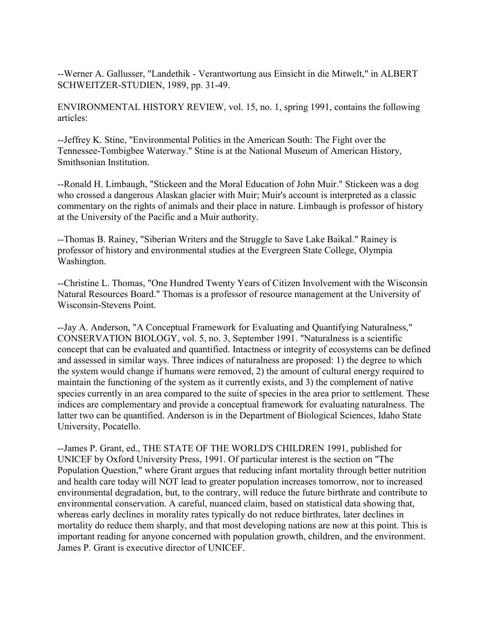--Werner A. Gallusser, "Landethik - Verantwortung aus Einsicht in die Mitwelt," in ALBERT SCHWEITZER-STUDIEN, 1989, pp. 31-49.

ENVIRONMENTAL HISTORY REVIEW, vol. 15, no. 1, spring 1991, contains the following articles:

--Jeffrey K. Stine, "Environmental Politics in the American South: The Fight over the Tennessee-Tombigbee Waterway." Stine is at the National Museum of American History, Smithsonian Institution.

--Ronald H. Limbaugh, "Stickeen and the Moral Education of John Muir." Stickeen was a dog who crossed a dangerous Alaskan glacier with Muir; Muir's account is interpreted as a classic commentary on the rights of animals and their place in nature. Limbaugh is professor of history at the University of the Pacific and a Muir authority.

--Thomas B. Rainey, "Siberian Writers and the Struggle to Save Lake Baikal." Rainey is professor of history and environmental studies at the Evergreen State College, Olympia Washington.

--Christine L. Thomas, "One Hundred Twenty Years of Citizen Involvement with the Wisconsin Natural Resources Board." Thomas is a professor of resource management at the University of Wisconsin-Stevens Point.

--Jay A. Anderson, "A Conceptual Framework for Evaluating and Quantifying Naturalness," CONSERVATION BIOLOGY, vol. 5, no. 3, September 1991. "Naturalness is a scientific concept that can be evaluated and quantified. Intactness or integrity of ecosystems can be defined and assessed in similar ways. Three indices of naturalness are proposed: 1) the degree to which the system would change if humans were removed, 2) the amount of cultural energy required to maintain the functioning of the system as it currently exists, and 3) the complement of native species currently in an area compared to the suite of species in the area prior to settlement. These indices are complementary and provide a conceptual framework for evaluating naturalness. The latter two can be quantified. Anderson is in the Department of Biological Sciences, Idaho State University, Pocatello.

--James P. Grant, ed., THE STATE OF THE WORLD'S CHILDREN 1991, published for UNICEF by Oxford University Press, 1991. Of particular interest is the section on "The Population Question," where Grant argues that reducing infant mortality through better nutrition and health care today will NOT lead to greater population increases tomorrow, nor to increased environmental degradation, but, to the contrary, will reduce the future birthrate and contribute to environmental conservation. A careful, nuanced claim, based on statistical data showing that, whereas early declines in morality rates typically do not reduce birthrates, later declines in mortality do reduce them sharply, and that most developing nations are now at this point. This is important reading for anyone concerned with population growth, children, and the environment. James P. Grant is executive director of UNICEF.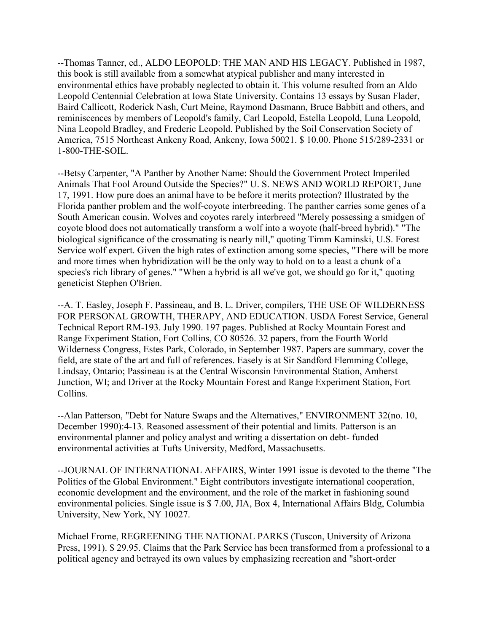--Thomas Tanner, ed., ALDO LEOPOLD: THE MAN AND HIS LEGACY. Published in 1987, this book is still available from a somewhat atypical publisher and many interested in environmental ethics have probably neglected to obtain it. This volume resulted from an Aldo Leopold Centennial Celebration at Iowa State University. Contains 13 essays by Susan Flader, Baird Callicott, Roderick Nash, Curt Meine, Raymond Dasmann, Bruce Babbitt and others, and reminiscences by members of Leopold's family, Carl Leopold, Estella Leopold, Luna Leopold, Nina Leopold Bradley, and Frederic Leopold. Published by the Soil Conservation Society of America, 7515 Northeast Ankeny Road, Ankeny, Iowa 50021. \$ 10.00. Phone 515/289-2331 or 1-800-THE-SOIL.

--Betsy Carpenter, "A Panther by Another Name: Should the Government Protect Imperiled Animals That Fool Around Outside the Species?" U. S. NEWS AND WORLD REPORT, June 17, 1991. How pure does an animal have to be before it merits protection? Illustrated by the Florida panther problem and the wolf-coyote interbreeding. The panther carries some genes of a South American cousin. Wolves and coyotes rarely interbreed "Merely possessing a smidgen of coyote blood does not automatically transform a wolf into a woyote (half-breed hybrid)." "The biological significance of the crossmating is nearly nill," quoting Timm Kaminski, U.S. Forest Service wolf expert. Given the high rates of extinction among some species, "There will be more and more times when hybridization will be the only way to hold on to a least a chunk of a species's rich library of genes." "When a hybrid is all we've got, we should go for it," quoting geneticist Stephen O'Brien.

--A. T. Easley, Joseph F. Passineau, and B. L. Driver, compilers, THE USE OF WILDERNESS FOR PERSONAL GROWTH, THERAPY, AND EDUCATION. USDA Forest Service, General Technical Report RM-193. July 1990. 197 pages. Published at Rocky Mountain Forest and Range Experiment Station, Fort Collins, CO 80526. 32 papers, from the Fourth World Wilderness Congress, Estes Park, Colorado, in September 1987. Papers are summary, cover the field, are state of the art and full of references. Easely is at Sir Sandford Flemming College, Lindsay, Ontario; Passineau is at the Central Wisconsin Environmental Station, Amherst Junction, WI; and Driver at the Rocky Mountain Forest and Range Experiment Station, Fort Collins.

--Alan Patterson, "Debt for Nature Swaps and the Alternatives," ENVIRONMENT 32(no. 10, December 1990):4-13. Reasoned assessment of their potential and limits. Patterson is an environmental planner and policy analyst and writing a dissertation on debt- funded environmental activities at Tufts University, Medford, Massachusetts.

--JOURNAL OF INTERNATIONAL AFFAIRS, Winter 1991 issue is devoted to the theme "The Politics of the Global Environment." Eight contributors investigate international cooperation, economic development and the environment, and the role of the market in fashioning sound environmental policies. Single issue is \$ 7.00, JIA, Box 4, International Affairs Bldg, Columbia University, New York, NY 10027.

Michael Frome, REGREENING THE NATIONAL PARKS (Tuscon, University of Arizona Press, 1991). \$ 29.95. Claims that the Park Service has been transformed from a professional to a political agency and betrayed its own values by emphasizing recreation and "short-order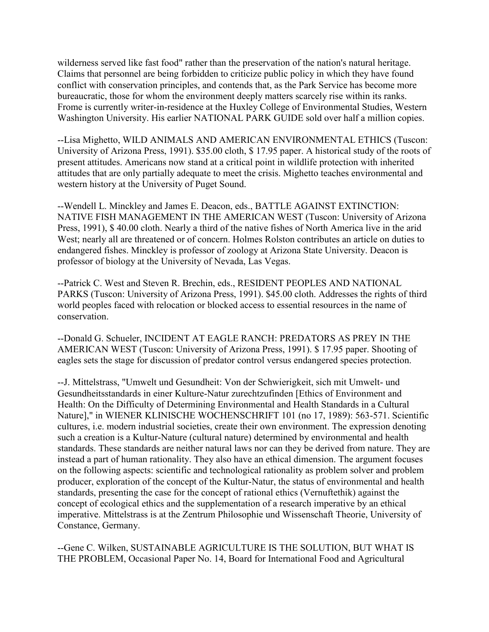wilderness served like fast food" rather than the preservation of the nation's natural heritage. Claims that personnel are being forbidden to criticize public policy in which they have found conflict with conservation principles, and contends that, as the Park Service has become more bureaucratic, those for whom the environment deeply matters scarcely rise within its ranks. Frome is currently writer-in-residence at the Huxley College of Environmental Studies, Western Washington University. His earlier NATIONAL PARK GUIDE sold over half a million copies.

--Lisa Mighetto, WILD ANIMALS AND AMERICAN ENVIRONMENTAL ETHICS (Tuscon: University of Arizona Press, 1991). \$35.00 cloth, \$ 17.95 paper. A historical study of the roots of present attitudes. Americans now stand at a critical point in wildlife protection with inherited attitudes that are only partially adequate to meet the crisis. Mighetto teaches environmental and western history at the University of Puget Sound.

--Wendell L. Minckley and James E. Deacon, eds., BATTLE AGAINST EXTINCTION: NATIVE FISH MANAGEMENT IN THE AMERICAN WEST (Tuscon: University of Arizona Press, 1991), \$ 40.00 cloth. Nearly a third of the native fishes of North America live in the arid West; nearly all are threatened or of concern. Holmes Rolston contributes an article on duties to endangered fishes. Minckley is professor of zoology at Arizona State University. Deacon is professor of biology at the University of Nevada, Las Vegas.

--Patrick C. West and Steven R. Brechin, eds., RESIDENT PEOPLES AND NATIONAL PARKS (Tuscon: University of Arizona Press, 1991). \$45.00 cloth. Addresses the rights of third world peoples faced with relocation or blocked access to essential resources in the name of conservation.

--Donald G. Schueler, INCIDENT AT EAGLE RANCH: PREDATORS AS PREY IN THE AMERICAN WEST (Tuscon: University of Arizona Press, 1991). \$ 17.95 paper. Shooting of eagles sets the stage for discussion of predator control versus endangered species protection.

--J. Mittelstrass, "Umwelt und Gesundheit: Von der Schwierigkeit, sich mit Umwelt- und Gesundheitsstandards in einer Kulture-Natur zurechtzufinden [Ethics of Environment and Health: On the Difficulty of Determining Environmental and Health Standards in a Cultural Nature]," in WIENER KLINISCHE WOCHENSCHRIFT 101 (no 17, 1989): 563-571. Scientific cultures, i.e. modern industrial societies, create their own environment. The expression denoting such a creation is a Kultur-Nature (cultural nature) determined by environmental and health standards. These standards are neither natural laws nor can they be derived from nature. They are instead a part of human rationality. They also have an ethical dimension. The argument focuses on the following aspects: scientific and technological rationality as problem solver and problem producer, exploration of the concept of the Kultur-Natur, the status of environmental and health standards, presenting the case for the concept of rational ethics (Vernuftethik) against the concept of ecological ethics and the supplementation of a research imperative by an ethical imperative. Mittelstrass is at the Zentrum Philosophie und Wissenschaft Theorie, University of Constance, Germany.

--Gene C. Wilken, SUSTAINABLE AGRICULTURE IS THE SOLUTION, BUT WHAT IS THE PROBLEM, Occasional Paper No. 14, Board for International Food and Agricultural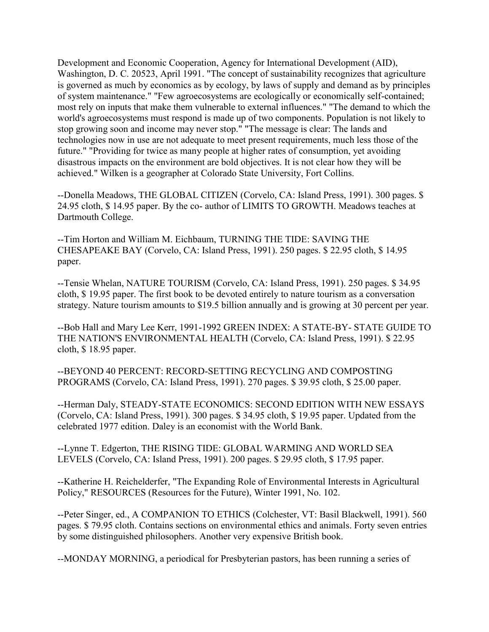Development and Economic Cooperation, Agency for International Development (AID), Washington, D. C. 20523, April 1991. "The concept of sustainability recognizes that agriculture is governed as much by economics as by ecology, by laws of supply and demand as by principles of system maintenance." "Few agroecosystems are ecologically or economically self-contained; most rely on inputs that make them vulnerable to external influences." "The demand to which the world's agroecosystems must respond is made up of two components. Population is not likely to stop growing soon and income may never stop." "The message is clear: The lands and technologies now in use are not adequate to meet present requirements, much less those of the future." "Providing for twice as many people at higher rates of consumption, yet avoiding disastrous impacts on the environment are bold objectives. It is not clear how they will be achieved." Wilken is a geographer at Colorado State University, Fort Collins.

--Donella Meadows, THE GLOBAL CITIZEN (Corvelo, CA: Island Press, 1991). 300 pages. \$ 24.95 cloth, \$ 14.95 paper. By the co- author of LIMITS TO GROWTH. Meadows teaches at Dartmouth College.

--Tim Horton and William M. Eichbaum, TURNING THE TIDE: SAVING THE CHESAPEAKE BAY (Corvelo, CA: Island Press, 1991). 250 pages. \$ 22.95 cloth, \$ 14.95 paper.

--Tensie Whelan, NATURE TOURISM (Corvelo, CA: Island Press, 1991). 250 pages. \$ 34.95 cloth, \$ 19.95 paper. The first book to be devoted entirely to nature tourism as a conversation strategy. Nature tourism amounts to \$19.5 billion annually and is growing at 30 percent per year.

--Bob Hall and Mary Lee Kerr, 1991-1992 GREEN INDEX: A STATE-BY- STATE GUIDE TO THE NATION'S ENVIRONMENTAL HEALTH (Corvelo, CA: Island Press, 1991). \$ 22.95 cloth, \$ 18.95 paper.

--BEYOND 40 PERCENT: RECORD-SETTING RECYCLING AND COMPOSTING PROGRAMS (Corvelo, CA: Island Press, 1991). 270 pages. \$ 39.95 cloth, \$ 25.00 paper.

--Herman Daly, STEADY-STATE ECONOMICS: SECOND EDITION WITH NEW ESSAYS (Corvelo, CA: Island Press, 1991). 300 pages. \$ 34.95 cloth, \$ 19.95 paper. Updated from the celebrated 1977 edition. Daley is an economist with the World Bank.

--Lynne T. Edgerton, THE RISING TIDE: GLOBAL WARMING AND WORLD SEA LEVELS (Corvelo, CA: Island Press, 1991). 200 pages. \$ 29.95 cloth, \$ 17.95 paper.

--Katherine H. Reichelderfer, "The Expanding Role of Environmental Interests in Agricultural Policy," RESOURCES (Resources for the Future), Winter 1991, No. 102.

--Peter Singer, ed., A COMPANION TO ETHICS (Colchester, VT: Basil Blackwell, 1991). 560 pages. \$ 79.95 cloth. Contains sections on environmental ethics and animals. Forty seven entries by some distinguished philosophers. Another very expensive British book.

--MONDAY MORNING, a periodical for Presbyterian pastors, has been running a series of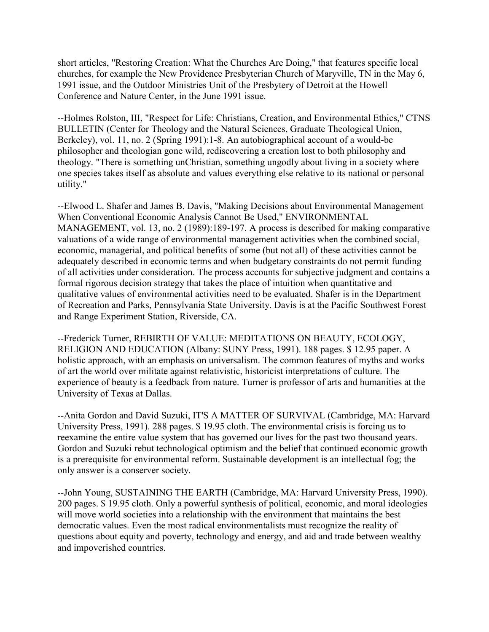short articles, "Restoring Creation: What the Churches Are Doing," that features specific local churches, for example the New Providence Presbyterian Church of Maryville, TN in the May 6, 1991 issue, and the Outdoor Ministries Unit of the Presbytery of Detroit at the Howell Conference and Nature Center, in the June 1991 issue.

--Holmes Rolston, III, "Respect for Life: Christians, Creation, and Environmental Ethics," CTNS BULLETIN (Center for Theology and the Natural Sciences, Graduate Theological Union, Berkeley), vol. 11, no. 2 (Spring 1991):1-8. An autobiographical account of a would-be philosopher and theologian gone wild, rediscovering a creation lost to both philosophy and theology. "There is something unChristian, something ungodly about living in a society where one species takes itself as absolute and values everything else relative to its national or personal utility."

--Elwood L. Shafer and James B. Davis, "Making Decisions about Environmental Management When Conventional Economic Analysis Cannot Be Used," ENVIRONMENTAL MANAGEMENT, vol. 13, no. 2 (1989):189-197. A process is described for making comparative valuations of a wide range of environmental management activities when the combined social, economic, managerial, and political benefits of some (but not all) of these activities cannot be adequately described in economic terms and when budgetary constraints do not permit funding of all activities under consideration. The process accounts for subjective judgment and contains a formal rigorous decision strategy that takes the place of intuition when quantitative and qualitative values of environmental activities need to be evaluated. Shafer is in the Department of Recreation and Parks, Pennsylvania State University. Davis is at the Pacific Southwest Forest and Range Experiment Station, Riverside, CA.

--Frederick Turner, REBIRTH OF VALUE: MEDITATIONS ON BEAUTY, ECOLOGY, RELIGION AND EDUCATION (Albany: SUNY Press, 1991). 188 pages. \$ 12.95 paper. A holistic approach, with an emphasis on universalism. The common features of myths and works of art the world over militate against relativistic, historicist interpretations of culture. The experience of beauty is a feedback from nature. Turner is professor of arts and humanities at the University of Texas at Dallas.

--Anita Gordon and David Suzuki, IT'S A MATTER OF SURVIVAL (Cambridge, MA: Harvard University Press, 1991). 288 pages. \$ 19.95 cloth. The environmental crisis is forcing us to reexamine the entire value system that has governed our lives for the past two thousand years. Gordon and Suzuki rebut technological optimism and the belief that continued economic growth is a prerequisite for environmental reform. Sustainable development is an intellectual fog; the only answer is a conserver society.

--John Young, SUSTAINING THE EARTH (Cambridge, MA: Harvard University Press, 1990). 200 pages. \$ 19.95 cloth. Only a powerful synthesis of political, economic, and moral ideologies will move world societies into a relationship with the environment that maintains the best democratic values. Even the most radical environmentalists must recognize the reality of questions about equity and poverty, technology and energy, and aid and trade between wealthy and impoverished countries.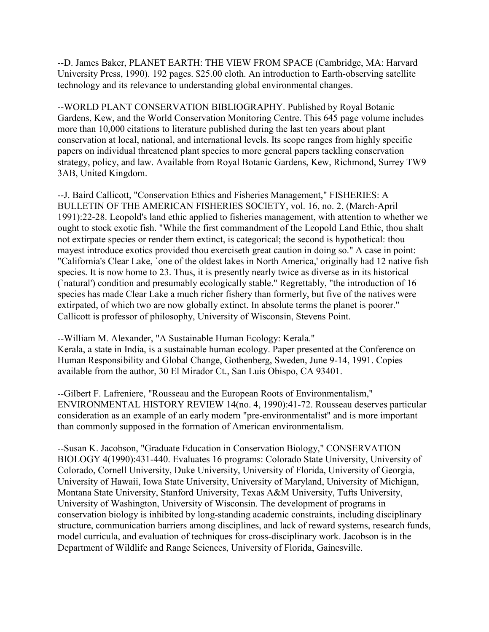--D. James Baker, PLANET EARTH: THE VIEW FROM SPACE (Cambridge, MA: Harvard University Press, 1990). 192 pages. \$25.00 cloth. An introduction to Earth-observing satellite technology and its relevance to understanding global environmental changes.

--WORLD PLANT CONSERVATION BIBLIOGRAPHY. Published by Royal Botanic Gardens, Kew, and the World Conservation Monitoring Centre. This 645 page volume includes more than 10,000 citations to literature published during the last ten years about plant conservation at local, national, and international levels. Its scope ranges from highly specific papers on individual threatened plant species to more general papers tackling conservation strategy, policy, and law. Available from Royal Botanic Gardens, Kew, Richmond, Surrey TW9 3AB, United Kingdom.

--J. Baird Callicott, "Conservation Ethics and Fisheries Management," FISHERIES: A BULLETIN OF THE AMERICAN FISHERIES SOCIETY, vol. 16, no. 2, (March-April 1991):22-28. Leopold's land ethic applied to fisheries management, with attention to whether we ought to stock exotic fish. "While the first commandment of the Leopold Land Ethic, thou shalt not extirpate species or render them extinct, is categorical; the second is hypothetical: thou mayest introduce exotics provided thou exerciseth great caution in doing so." A case in point: "California's Clear Lake, `one of the oldest lakes in North America,' originally had 12 native fish species. It is now home to 23. Thus, it is presently nearly twice as diverse as in its historical (`natural') condition and presumably ecologically stable." Regrettably, "the introduction of 16 species has made Clear Lake a much richer fishery than formerly, but five of the natives were extirpated, of which two are now globally extinct. In absolute terms the planet is poorer." Callicott is professor of philosophy, University of Wisconsin, Stevens Point.

--William M. Alexander, "A Sustainable Human Ecology: Kerala."

Kerala, a state in India, is a sustainable human ecology. Paper presented at the Conference on Human Responsibility and Global Change, Gothenberg, Sweden, June 9-14, 1991. Copies available from the author, 30 El Mirador Ct., San Luis Obispo, CA 93401.

--Gilbert F. Lafreniere, "Rousseau and the European Roots of Environmentalism," ENVIRONMENTAL HISTORY REVIEW 14(no. 4, 1990):41-72. Rousseau deserves particular consideration as an example of an early modern "pre-environmentalist" and is more important than commonly supposed in the formation of American environmentalism.

--Susan K. Jacobson, "Graduate Education in Conservation Biology," CONSERVATION BIOLOGY 4(1990):431-440. Evaluates 16 programs: Colorado State University, University of Colorado, Cornell University, Duke University, University of Florida, University of Georgia, University of Hawaii, Iowa State University, University of Maryland, University of Michigan, Montana State University, Stanford University, Texas A&M University, Tufts University, University of Washington, University of Wisconsin. The development of programs in conservation biology is inhibited by long-standing academic constraints, including disciplinary structure, communication barriers among disciplines, and lack of reward systems, research funds, model curricula, and evaluation of techniques for cross-disciplinary work. Jacobson is in the Department of Wildlife and Range Sciences, University of Florida, Gainesville.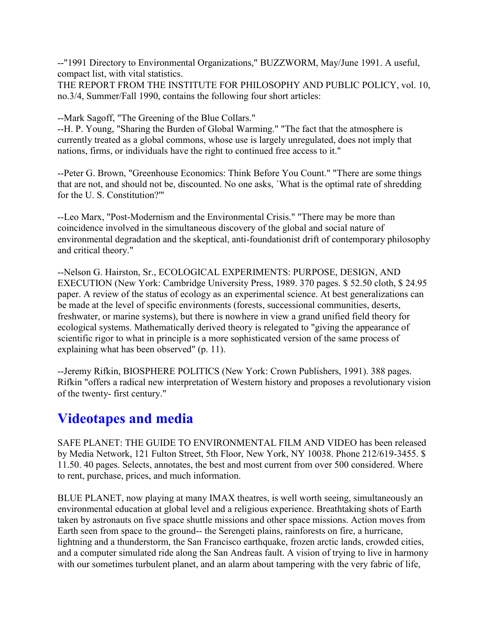--"1991 Directory to Environmental Organizations," BUZZWORM, May/June 1991. A useful, compact list, with vital statistics.

THE REPORT FROM THE INSTITUTE FOR PHILOSOPHY AND PUBLIC POLICY, vol. 10, no.3/4, Summer/Fall 1990, contains the following four short articles:

--Mark Sagoff, "The Greening of the Blue Collars."

--H. P. Young, "Sharing the Burden of Global Warming." "The fact that the atmosphere is currently treated as a global commons, whose use is largely unregulated, does not imply that nations, firms, or individuals have the right to continued free access to it."

--Peter G. Brown, "Greenhouse Economics: Think Before You Count." "There are some things that are not, and should not be, discounted. No one asks, `What is the optimal rate of shredding for the U. S. Constitution?'"

--Leo Marx, "Post-Modernism and the Environmental Crisis." "There may be more than coincidence involved in the simultaneous discovery of the global and social nature of environmental degradation and the skeptical, anti-foundationist drift of contemporary philosophy and critical theory."

--Nelson G. Hairston, Sr., ECOLOGICAL EXPERIMENTS: PURPOSE, DESIGN, AND EXECUTION (New York: Cambridge University Press, 1989. 370 pages. \$ 52.50 cloth, \$ 24.95 paper. A review of the status of ecology as an experimental science. At best generalizations can be made at the level of specific environments (forests, successional communities, deserts, freshwater, or marine systems), but there is nowhere in view a grand unified field theory for ecological systems. Mathematically derived theory is relegated to "giving the appearance of scientific rigor to what in principle is a more sophisticated version of the same process of explaining what has been observed" (p. 11).

--Jeremy Rifkin, BIOSPHERE POLITICS (New York: Crown Publishers, 1991). 388 pages. Rifkin "offers a radical new interpretation of Western history and proposes a revolutionary vision of the twenty- first century."

### **Videotapes and media**

SAFE PLANET: THE GUIDE TO ENVIRONMENTAL FILM AND VIDEO has been released by Media Network, 121 Fulton Street, 5th Floor, New York, NY 10038. Phone 212/619-3455. \$ 11.50. 40 pages. Selects, annotates, the best and most current from over 500 considered. Where to rent, purchase, prices, and much information.

BLUE PLANET, now playing at many IMAX theatres, is well worth seeing, simultaneously an environmental education at global level and a religious experience. Breathtaking shots of Earth taken by astronauts on five space shuttle missions and other space missions. Action moves from Earth seen from space to the ground-- the Serengeti plains, rainforests on fire, a hurricane, lightning and a thunderstorm, the San Francisco earthquake, frozen arctic lands, crowded cities, and a computer simulated ride along the San Andreas fault. A vision of trying to live in harmony with our sometimes turbulent planet, and an alarm about tampering with the very fabric of life,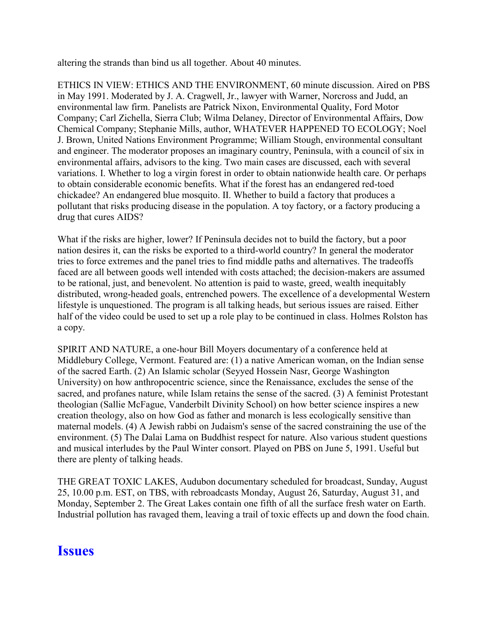altering the strands than bind us all together. About 40 minutes.

ETHICS IN VIEW: ETHICS AND THE ENVIRONMENT, 60 minute discussion. Aired on PBS in May 1991. Moderated by J. A. Cragwell, Jr., lawyer with Warner, Norcross and Judd, an environmental law firm. Panelists are Patrick Nixon, Environmental Quality, Ford Motor Company; Carl Zichella, Sierra Club; Wilma Delaney, Director of Environmental Affairs, Dow Chemical Company; Stephanie Mills, author, WHATEVER HAPPENED TO ECOLOGY; Noel J. Brown, United Nations Environment Programme; William Stough, environmental consultant and engineer. The moderator proposes an imaginary country, Peninsula, with a council of six in environmental affairs, advisors to the king. Two main cases are discussed, each with several variations. I. Whether to log a virgin forest in order to obtain nationwide health care. Or perhaps to obtain considerable economic benefits. What if the forest has an endangered red-toed chickadee? An endangered blue mosquito. II. Whether to build a factory that produces a pollutant that risks producing disease in the population. A toy factory, or a factory producing a drug that cures AIDS?

What if the risks are higher, lower? If Peninsula decides not to build the factory, but a poor nation desires it, can the risks be exported to a third-world country? In general the moderator tries to force extremes and the panel tries to find middle paths and alternatives. The tradeoffs faced are all between goods well intended with costs attached; the decision-makers are assumed to be rational, just, and benevolent. No attention is paid to waste, greed, wealth inequitably distributed, wrong-headed goals, entrenched powers. The excellence of a developmental Western lifestyle is unquestioned. The program is all talking heads, but serious issues are raised. Either half of the video could be used to set up a role play to be continued in class. Holmes Rolston has a copy.

SPIRIT AND NATURE, a one-hour Bill Moyers documentary of a conference held at Middlebury College, Vermont. Featured are: (1) a native American woman, on the Indian sense of the sacred Earth. (2) An Islamic scholar (Seyyed Hossein Nasr, George Washington University) on how anthropocentric science, since the Renaissance, excludes the sense of the sacred, and profanes nature, while Islam retains the sense of the sacred. (3) A feminist Protestant theologian (Sallie McFague, Vanderbilt Divinity School) on how better science inspires a new creation theology, also on how God as father and monarch is less ecologically sensitive than maternal models. (4) A Jewish rabbi on Judaism's sense of the sacred constraining the use of the environment. (5) The Dalai Lama on Buddhist respect for nature. Also various student questions and musical interludes by the Paul Winter consort. Played on PBS on June 5, 1991. Useful but there are plenty of talking heads.

THE GREAT TOXIC LAKES, Audubon documentary scheduled for broadcast, Sunday, August 25, 10.00 p.m. EST, on TBS, with rebroadcasts Monday, August 26, Saturday, August 31, and Monday, September 2. The Great Lakes contain one fifth of all the surface fresh water on Earth. Industrial pollution has ravaged them, leaving a trail of toxic effects up and down the food chain.

#### **Issues**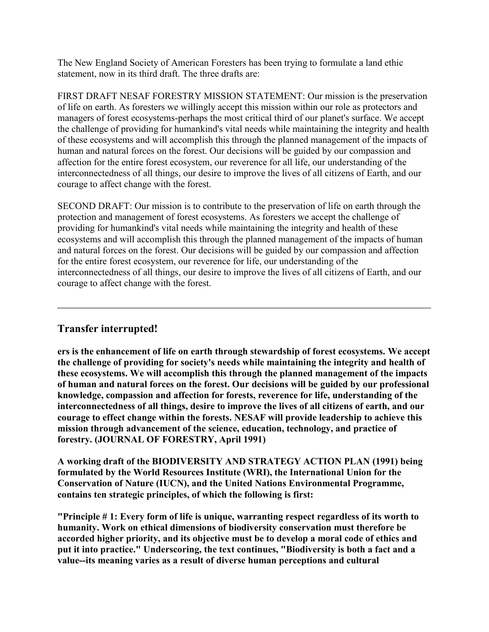The New England Society of American Foresters has been trying to formulate a land ethic statement, now in its third draft. The three drafts are:

FIRST DRAFT NESAF FORESTRY MISSION STATEMENT: Our mission is the preservation of life on earth. As foresters we willingly accept this mission within our role as protectors and managers of forest ecosystems-perhaps the most critical third of our planet's surface. We accept the challenge of providing for humankind's vital needs while maintaining the integrity and health of these ecosystems and will accomplish this through the planned management of the impacts of human and natural forces on the forest. Our decisions will be guided by our compassion and affection for the entire forest ecosystem, our reverence for all life, our understanding of the interconnectedness of all things, our desire to improve the lives of all citizens of Earth, and our courage to affect change with the forest.

SECOND DRAFT: Our mission is to contribute to the preservation of life on earth through the protection and management of forest ecosystems. As foresters we accept the challenge of providing for humankind's vital needs while maintaining the integrity and health of these ecosystems and will accomplish this through the planned management of the impacts of human and natural forces on the forest. Our decisions will be guided by our compassion and affection for the entire forest ecosystem, our reverence for life, our understanding of the interconnectedness of all things, our desire to improve the lives of all citizens of Earth, and our courage to affect change with the forest.

#### **Transfer interrupted!**

**ers is the enhancement of life on earth through stewardship of forest ecosystems. We accept the challenge of providing for society's needs while maintaining the integrity and health of these ecosystems. We will accomplish this through the planned management of the impacts of human and natural forces on the forest. Our decisions will be guided by our professional knowledge, compassion and affection for forests, reverence for life, understanding of the interconnectedness of all things, desire to improve the lives of all citizens of earth, and our courage to effect change within the forests. NESAF will provide leadership to achieve this mission through advancement of the science, education, technology, and practice of forestry. (JOURNAL OF FORESTRY, April 1991)**

**A working draft of the BIODIVERSITY AND STRATEGY ACTION PLAN (1991) being formulated by the World Resources Institute (WRI), the International Union for the Conservation of Nature (IUCN), and the United Nations Environmental Programme, contains ten strategic principles, of which the following is first:**

**"Principle # 1: Every form of life is unique, warranting respect regardless of its worth to humanity. Work on ethical dimensions of biodiversity conservation must therefore be accorded higher priority, and its objective must be to develop a moral code of ethics and put it into practice." Underscoring, the text continues, "Biodiversity is both a fact and a value--its meaning varies as a result of diverse human perceptions and cultural**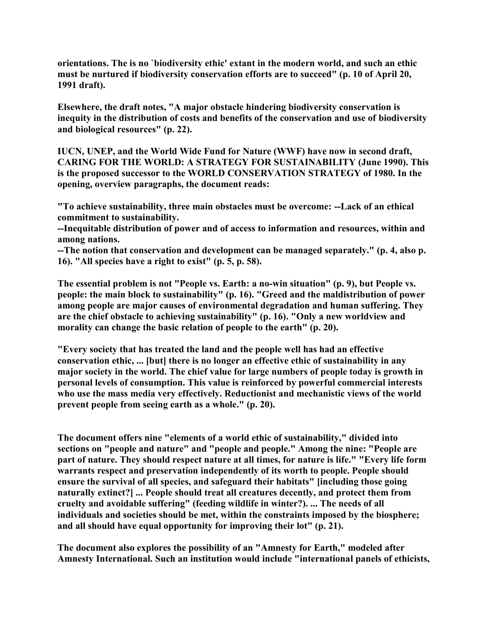**orientations. The is no `biodiversity ethic' extant in the modern world, and such an ethic must be nurtured if biodiversity conservation efforts are to succeed" (p. 10 of April 20, 1991 draft).**

**Elsewhere, the draft notes, "A major obstacle hindering biodiversity conservation is inequity in the distribution of costs and benefits of the conservation and use of biodiversity and biological resources" (p. 22).**

**IUCN, UNEP, and the World Wide Fund for Nature (WWF) have now in second draft, CARING FOR THE WORLD: A STRATEGY FOR SUSTAINABILITY (June 1990). This is the proposed successor to the WORLD CONSERVATION STRATEGY of 1980. In the opening, overview paragraphs, the document reads:**

**"To achieve sustainability, three main obstacles must be overcome: --Lack of an ethical commitment to sustainability.**

**--Inequitable distribution of power and of access to information and resources, within and among nations.**

**--The notion that conservation and development can be managed separately." (p. 4, also p. 16). "All species have a right to exist" (p. 5, p. 58).**

**The essential problem is not "People vs. Earth: a no-win situation" (p. 9), but People vs. people: the main block to sustainability" (p. 16). "Greed and the maldistribution of power among people are major causes of environmental degradation and human suffering. They are the chief obstacle to achieving sustainability" (p. 16). "Only a new worldview and morality can change the basic relation of people to the earth" (p. 20).**

**"Every society that has treated the land and the people well has had an effective conservation ethic, ... [but] there is no longer an effective ethic of sustainability in any major society in the world. The chief value for large numbers of people today is growth in personal levels of consumption. This value is reinforced by powerful commercial interests who use the mass media very effectively. Reductionist and mechanistic views of the world prevent people from seeing earth as a whole." (p. 20).** 

**The document offers nine "elements of a world ethic of sustainability," divided into sections on "people and nature" and "people and people." Among the nine: "People are part of nature. They should respect nature at all times, for nature is life." "Every life form warrants respect and preservation independently of its worth to people. People should ensure the survival of all species, and safeguard their habitats" [including those going naturally extinct?] ... People should treat all creatures decently, and protect them from cruelty and avoidable suffering" (feeding wildlife in winter?). ... The needs of all individuals and societies should be met, within the constraints imposed by the biosphere; and all should have equal opportunity for improving their lot" (p. 21).**

**The document also explores the possibility of an "Amnesty for Earth," modeled after Amnesty International. Such an institution would include "international panels of ethicists,**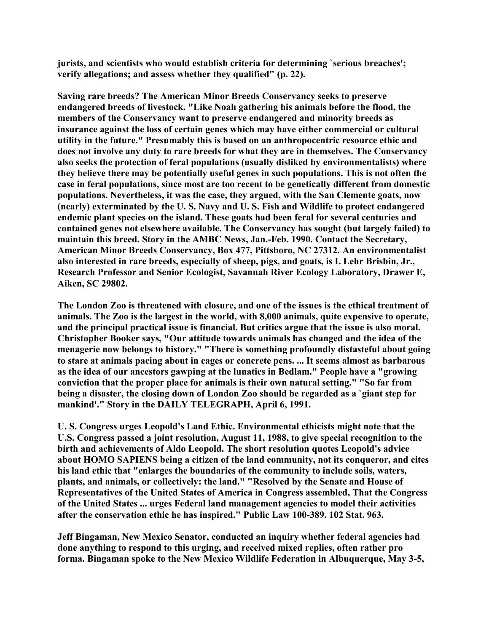**jurists, and scientists who would establish criteria for determining `serious breaches'; verify allegations; and assess whether they qualified" (p. 22).**

**Saving rare breeds? The American Minor Breeds Conservancy seeks to preserve endangered breeds of livestock. "Like Noah gathering his animals before the flood, the members of the Conservancy want to preserve endangered and minority breeds as insurance against the loss of certain genes which may have either commercial or cultural utility in the future." Presumably this is based on an anthropocentric resource ethic and does not involve any duty to rare breeds for what they are in themselves. The Conservancy also seeks the protection of feral populations (usually disliked by environmentalists) where they believe there may be potentially useful genes in such populations. This is not often the case in feral populations, since most are too recent to be genetically different from domestic populations. Nevertheless, it was the case, they argued, with the San Clemente goats, now (nearly) exterminated by the U. S. Navy and U. S. Fish and Wildlife to protect endangered endemic plant species on the island. These goats had been feral for several centuries and contained genes not elsewhere available. The Conservancy has sought (but largely failed) to maintain this breed. Story in the AMBC News, Jan.-Feb. 1990. Contact the Secretary, American Minor Breeds Conservancy, Box 477, Pittsboro, NC 27312. An environmentalist also interested in rare breeds, especially of sheep, pigs, and goats, is I. Lehr Brisbin, Jr., Research Professor and Senior Ecologist, Savannah River Ecology Laboratory, Drawer E, Aiken, SC 29802.**

**The London Zoo is threatened with closure, and one of the issues is the ethical treatment of animals. The Zoo is the largest in the world, with 8,000 animals, quite expensive to operate, and the principal practical issue is financial. But critics argue that the issue is also moral. Christopher Booker says, "Our attitude towards animals has changed and the idea of the menagerie now belongs to history." "There is something profoundly distasteful about going to stare at animals pacing about in cages or concrete pens. ... It seems almost as barbarous as the idea of our ancestors gawping at the lunatics in Bedlam." People have a "growing conviction that the proper place for animals is their own natural setting." "So far from being a disaster, the closing down of London Zoo should be regarded as a `giant step for mankind'." Story in the DAILY TELEGRAPH, April 6, 1991.**

**U. S. Congress urges Leopold's Land Ethic. Environmental ethicists might note that the U.S. Congress passed a joint resolution, August 11, 1988, to give special recognition to the birth and achievements of Aldo Leopold. The short resolution quotes Leopold's advice about HOMO SAPIENS being a citizen of the land community, not its conqueror, and cites his land ethic that "enlarges the boundaries of the community to include soils, waters, plants, and animals, or collectively: the land." "Resolved by the Senate and House of Representatives of the United States of America in Congress assembled, That the Congress of the United States ... urges Federal land management agencies to model their activities after the conservation ethic he has inspired." Public Law 100-389. 102 Stat. 963.**

**Jeff Bingaman, New Mexico Senator, conducted an inquiry whether federal agencies had done anything to respond to this urging, and received mixed replies, often rather pro forma. Bingaman spoke to the New Mexico Wildlife Federation in Albuquerque, May 3-5,**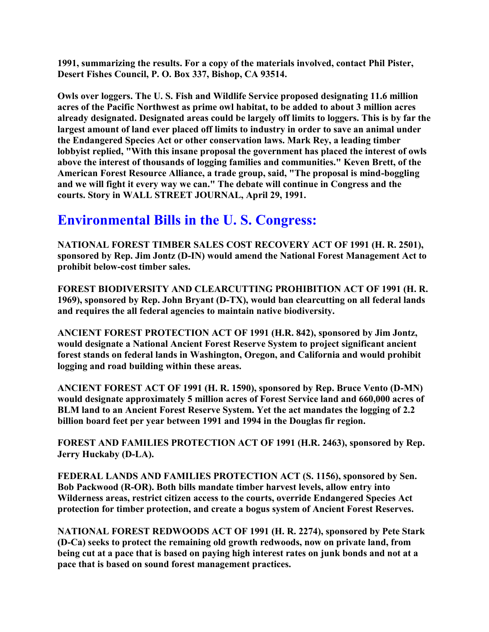**1991, summarizing the results. For a copy of the materials involved, contact Phil Pister, Desert Fishes Council, P. O. Box 337, Bishop, CA 93514.**

**Owls over loggers. The U. S. Fish and Wildlife Service proposed designating 11.6 million acres of the Pacific Northwest as prime owl habitat, to be added to about 3 million acres already designated. Designated areas could be largely off limits to loggers. This is by far the largest amount of land ever placed off limits to industry in order to save an animal under the Endangered Species Act or other conservation laws. Mark Rey, a leading timber lobbyist replied, "With this insane proposal the government has placed the interest of owls above the interest of thousands of logging families and communities." Keven Brett, of the American Forest Resource Alliance, a trade group, said, "The proposal is mind-boggling and we will fight it every way we can." The debate will continue in Congress and the courts. Story in WALL STREET JOURNAL, April 29, 1991.**

### **Environmental Bills in the U. S. Congress:**

**NATIONAL FOREST TIMBER SALES COST RECOVERY ACT OF 1991 (H. R. 2501), sponsored by Rep. Jim Jontz (D-IN) would amend the National Forest Management Act to prohibit below-cost timber sales.**

**FOREST BIODIVERSITY AND CLEARCUTTING PROHIBITION ACT OF 1991 (H. R. 1969), sponsored by Rep. John Bryant (D-TX), would ban clearcutting on all federal lands and requires the all federal agencies to maintain native biodiversity.**

**ANCIENT FOREST PROTECTION ACT OF 1991 (H.R. 842), sponsored by Jim Jontz, would designate a National Ancient Forest Reserve System to project significant ancient forest stands on federal lands in Washington, Oregon, and California and would prohibit logging and road building within these areas.** 

**ANCIENT FOREST ACT OF 1991 (H. R. 1590), sponsored by Rep. Bruce Vento (D-MN) would designate approximately 5 million acres of Forest Service land and 660,000 acres of BLM land to an Ancient Forest Reserve System. Yet the act mandates the logging of 2.2 billion board feet per year between 1991 and 1994 in the Douglas fir region.**

**FOREST AND FAMILIES PROTECTION ACT OF 1991 (H.R. 2463), sponsored by Rep. Jerry Huckaby (D-LA).**

**FEDERAL LANDS AND FAMILIES PROTECTION ACT (S. 1156), sponsored by Sen. Bob Packwood (R-OR). Both bills mandate timber harvest levels, allow entry into Wilderness areas, restrict citizen access to the courts, override Endangered Species Act protection for timber protection, and create a bogus system of Ancient Forest Reserves.**

**NATIONAL FOREST REDWOODS ACT OF 1991 (H. R. 2274), sponsored by Pete Stark (D-Ca) seeks to protect the remaining old growth redwoods, now on private land, from being cut at a pace that is based on paying high interest rates on junk bonds and not at a pace that is based on sound forest management practices.**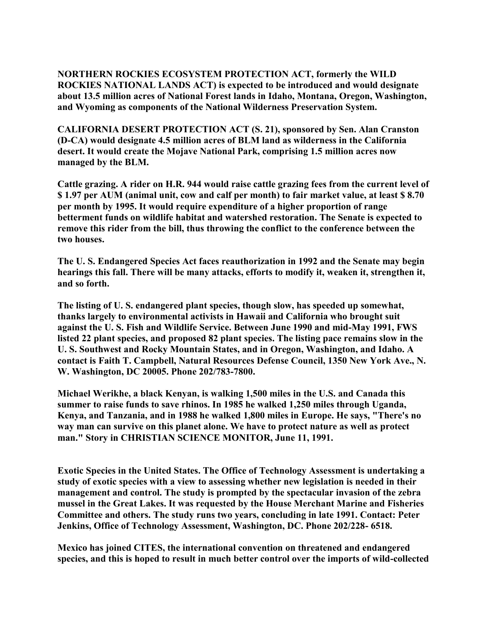**NORTHERN ROCKIES ECOSYSTEM PROTECTION ACT, formerly the WILD ROCKIES NATIONAL LANDS ACT) is expected to be introduced and would designate about 13.5 million acres of National Forest lands in Idaho, Montana, Oregon, Washington, and Wyoming as components of the National Wilderness Preservation System.**

**CALIFORNIA DESERT PROTECTION ACT (S. 21), sponsored by Sen. Alan Cranston (D-CA) would designate 4.5 million acres of BLM land as wilderness in the California desert. It would create the Mojave National Park, comprising 1.5 million acres now managed by the BLM.**

**Cattle grazing. A rider on H.R. 944 would raise cattle grazing fees from the current level of \$ 1.97 per AUM (animal unit, cow and calf per month) to fair market value, at least \$ 8.70 per month by 1995. It would require expenditure of a higher proportion of range betterment funds on wildlife habitat and watershed restoration. The Senate is expected to remove this rider from the bill, thus throwing the conflict to the conference between the two houses.**

**The U. S. Endangered Species Act faces reauthorization in 1992 and the Senate may begin hearings this fall. There will be many attacks, efforts to modify it, weaken it, strengthen it, and so forth.** 

**The listing of U. S. endangered plant species, though slow, has speeded up somewhat, thanks largely to environmental activists in Hawaii and California who brought suit against the U. S. Fish and Wildlife Service. Between June 1990 and mid-May 1991, FWS listed 22 plant species, and proposed 82 plant species. The listing pace remains slow in the U. S. Southwest and Rocky Mountain States, and in Oregon, Washington, and Idaho. A contact is Faith T. Campbell, Natural Resources Defense Council, 1350 New York Ave., N. W. Washington, DC 20005. Phone 202/783-7800.**

**Michael Werikhe, a black Kenyan, is walking 1,500 miles in the U.S. and Canada this summer to raise funds to save rhinos. In 1985 he walked 1,250 miles through Uganda, Kenya, and Tanzania, and in 1988 he walked 1,800 miles in Europe. He says, "There's no way man can survive on this planet alone. We have to protect nature as well as protect man." Story in CHRISTIAN SCIENCE MONITOR, June 11, 1991.**

**Exotic Species in the United States. The Office of Technology Assessment is undertaking a study of exotic species with a view to assessing whether new legislation is needed in their management and control. The study is prompted by the spectacular invasion of the zebra mussel in the Great Lakes. It was requested by the House Merchant Marine and Fisheries Committee and others. The study runs two years, concluding in late 1991. Contact: Peter Jenkins, Office of Technology Assessment, Washington, DC. Phone 202/228- 6518.**

**Mexico has joined CITES, the international convention on threatened and endangered species, and this is hoped to result in much better control over the imports of wild-collected**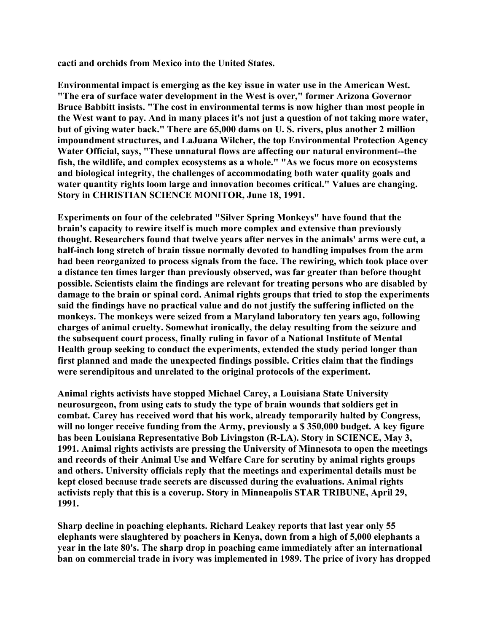**cacti and orchids from Mexico into the United States.**

**Environmental impact is emerging as the key issue in water use in the American West. "The era of surface water development in the West is over," former Arizona Governor Bruce Babbitt insists. "The cost in environmental terms is now higher than most people in the West want to pay. And in many places it's not just a question of not taking more water, but of giving water back." There are 65,000 dams on U. S. rivers, plus another 2 million impoundment structures, and LaJuana Wilcher, the top Environmental Protection Agency Water Official, says, "These unnatural flows are affecting our natural environment--the fish, the wildlife, and complex ecosystems as a whole." "As we focus more on ecosystems and biological integrity, the challenges of accommodating both water quality goals and water quantity rights loom large and innovation becomes critical." Values are changing. Story in CHRISTIAN SCIENCE MONITOR, June 18, 1991.**

**Experiments on four of the celebrated "Silver Spring Monkeys" have found that the brain's capacity to rewire itself is much more complex and extensive than previously thought. Researchers found that twelve years after nerves in the animals' arms were cut, a half-inch long stretch of brain tissue normally devoted to handling impulses from the arm had been reorganized to process signals from the face. The rewiring, which took place over a distance ten times larger than previously observed, was far greater than before thought possible. Scientists claim the findings are relevant for treating persons who are disabled by damage to the brain or spinal cord. Animal rights groups that tried to stop the experiments said the findings have no practical value and do not justify the suffering inflicted on the monkeys. The monkeys were seized from a Maryland laboratory ten years ago, following charges of animal cruelty. Somewhat ironically, the delay resulting from the seizure and the subsequent court process, finally ruling in favor of a National Institute of Mental Health group seeking to conduct the experiments, extended the study period longer than first planned and made the unexpected findings possible. Critics claim that the findings were serendipitous and unrelated to the original protocols of the experiment.**

**Animal rights activists have stopped Michael Carey, a Louisiana State University neurosurgeon, from using cats to study the type of brain wounds that soldiers get in combat. Carey has received word that his work, already temporarily halted by Congress, will no longer receive funding from the Army, previously a \$ 350,000 budget. A key figure has been Louisiana Representative Bob Livingston (R-LA). Story in SCIENCE, May 3, 1991. Animal rights activists are pressing the University of Minnesota to open the meetings and records of their Animal Use and Welfare Care for scrutiny by animal rights groups and others. University officials reply that the meetings and experimental details must be kept closed because trade secrets are discussed during the evaluations. Animal rights activists reply that this is a coverup. Story in Minneapolis STAR TRIBUNE, April 29, 1991.**

**Sharp decline in poaching elephants. Richard Leakey reports that last year only 55 elephants were slaughtered by poachers in Kenya, down from a high of 5,000 elephants a year in the late 80's. The sharp drop in poaching came immediately after an international ban on commercial trade in ivory was implemented in 1989. The price of ivory has dropped**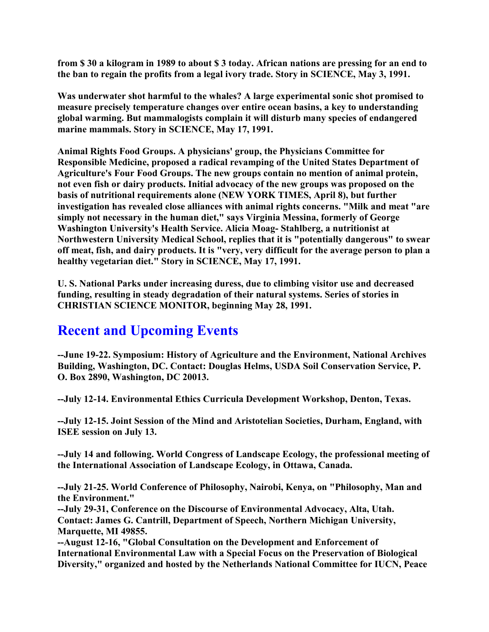**from \$ 30 a kilogram in 1989 to about \$ 3 today. African nations are pressing for an end to the ban to regain the profits from a legal ivory trade. Story in SCIENCE, May 3, 1991.**

**Was underwater shot harmful to the whales? A large experimental sonic shot promised to measure precisely temperature changes over entire ocean basins, a key to understanding global warming. But mammalogists complain it will disturb many species of endangered marine mammals. Story in SCIENCE, May 17, 1991.**

**Animal Rights Food Groups. A physicians' group, the Physicians Committee for Responsible Medicine, proposed a radical revamping of the United States Department of Agriculture's Four Food Groups. The new groups contain no mention of animal protein, not even fish or dairy products. Initial advocacy of the new groups was proposed on the basis of nutritional requirements alone (NEW YORK TIMES, April 8), but further investigation has revealed close alliances with animal rights concerns. "Milk and meat "are simply not necessary in the human diet," says Virginia Messina, formerly of George Washington University's Health Service. Alicia Moag- Stahlberg, a nutritionist at Northwestern University Medical School, replies that it is "potentially dangerous" to swear off meat, fish, and dairy products. It is "very, very difficult for the average person to plan a healthy vegetarian diet." Story in SCIENCE, May 17, 1991.**

**U. S. National Parks under increasing duress, due to climbing visitor use and decreased funding, resulting in steady degradation of their natural systems. Series of stories in CHRISTIAN SCIENCE MONITOR, beginning May 28, 1991.**

## **Recent and Upcoming Events**

**--June 19-22. Symposium: History of Agriculture and the Environment, National Archives Building, Washington, DC. Contact: Douglas Helms, USDA Soil Conservation Service, P. O. Box 2890, Washington, DC 20013.**

**--July 12-14. Environmental Ethics Curricula Development Workshop, Denton, Texas.** 

**--July 12-15. Joint Session of the Mind and Aristotelian Societies, Durham, England, with ISEE session on July 13.**

**--July 14 and following. World Congress of Landscape Ecology, the professional meeting of the International Association of Landscape Ecology, in Ottawa, Canada.**

**--July 21-25. World Conference of Philosophy, Nairobi, Kenya, on "Philosophy, Man and the Environment."** 

**--July 29-31, Conference on the Discourse of Environmental Advocacy, Alta, Utah. Contact: James G. Cantrill, Department of Speech, Northern Michigan University, Marquette, MI 49855.** 

**--August 12-16, "Global Consultation on the Development and Enforcement of International Environmental Law with a Special Focus on the Preservation of Biological Diversity," organized and hosted by the Netherlands National Committee for IUCN, Peace**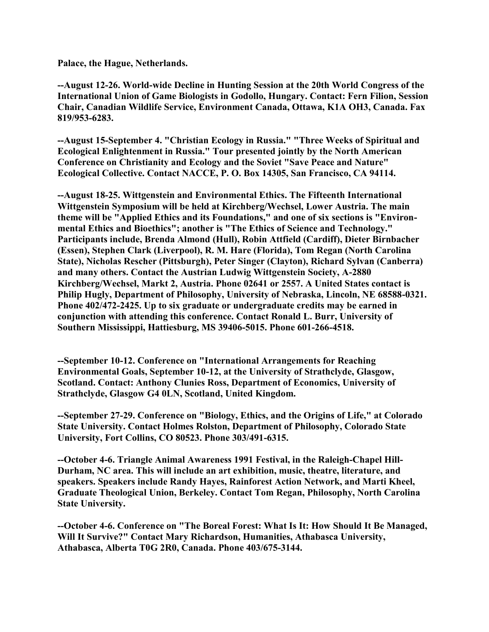**Palace, the Hague, Netherlands.**

**--August 12-26. World-wide Decline in Hunting Session at the 20th World Congress of the International Union of Game Biologists in Godollo, Hungary. Contact: Fern Filion, Session Chair, Canadian Wildlife Service, Environment Canada, Ottawa, K1A OH3, Canada. Fax 819/953-6283.**

**--August 15-September 4. "Christian Ecology in Russia." "Three Weeks of Spiritual and Ecological Enlightenment in Russia." Tour presented jointly by the North American Conference on Christianity and Ecology and the Soviet "Save Peace and Nature" Ecological Collective. Contact NACCE, P. O. Box 14305, San Francisco, CA 94114.**

**--August 18-25. Wittgenstein and Environmental Ethics. The Fifteenth International Wittgenstein Symposium will be held at Kirchberg/Wechsel, Lower Austria. The main theme will be "Applied Ethics and its Foundations," and one of six sections is "Environmental Ethics and Bioethics"; another is "The Ethics of Science and Technology." Participants include, Brenda Almond (Hull), Robin Attfield (Cardiff), Dieter Birnbacher (Essen), Stephen Clark (Liverpool), R. M. Hare (Florida), Tom Regan (North Carolina State), Nicholas Rescher (Pittsburgh), Peter Singer (Clayton), Richard Sylvan (Canberra) and many others. Contact the Austrian Ludwig Wittgenstein Society, A-2880 Kirchberg/Wechsel, Markt 2, Austria. Phone 02641 or 2557. A United States contact is Philip Hugly, Department of Philosophy, University of Nebraska, Lincoln, NE 68588-0321. Phone 402/472-2425. Up to six graduate or undergraduate credits may be earned in conjunction with attending this conference. Contact Ronald L. Burr, University of Southern Mississippi, Hattiesburg, MS 39406-5015. Phone 601-266-4518.**

**--September 10-12. Conference on "International Arrangements for Reaching Environmental Goals, September 10-12, at the University of Strathclyde, Glasgow, Scotland. Contact: Anthony Clunies Ross, Department of Economics, University of Strathclyde, Glasgow G4 0LN, Scotland, United Kingdom.**

**--September 27-29. Conference on "Biology, Ethics, and the Origins of Life," at Colorado State University. Contact Holmes Rolston, Department of Philosophy, Colorado State University, Fort Collins, CO 80523. Phone 303/491-6315.**

**--October 4-6. Triangle Animal Awareness 1991 Festival, in the Raleigh-Chapel Hill-Durham, NC area. This will include an art exhibition, music, theatre, literature, and speakers. Speakers include Randy Hayes, Rainforest Action Network, and Marti Kheel, Graduate Theological Union, Berkeley. Contact Tom Regan, Philosophy, North Carolina State University.**

**--October 4-6. Conference on "The Boreal Forest: What Is It: How Should It Be Managed, Will It Survive?" Contact Mary Richardson, Humanities, Athabasca University, Athabasca, Alberta T0G 2R0, Canada. Phone 403/675-3144.**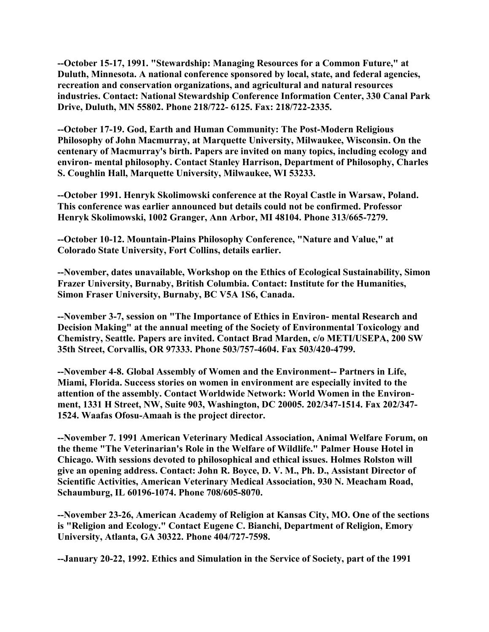**--October 15-17, 1991. "Stewardship: Managing Resources for a Common Future," at Duluth, Minnesota. A national conference sponsored by local, state, and federal agencies, recreation and conservation organizations, and agricultural and natural resources industries. Contact: National Stewardship Conference Information Center, 330 Canal Park Drive, Duluth, MN 55802. Phone 218/722- 6125. Fax: 218/722-2335.**

**--October 17-19. God, Earth and Human Community: The Post-Modern Religious Philosophy of John Macmurray, at Marquette University, Milwaukee, Wisconsin. On the centenary of Macmurray's birth. Papers are invited on many topics, including ecology and environ- mental philosophy. Contact Stanley Harrison, Department of Philosophy, Charles S. Coughlin Hall, Marquette University, Milwaukee, WI 53233.**

**--October 1991. Henryk Skolimowski conference at the Royal Castle in Warsaw, Poland. This conference was earlier announced but details could not be confirmed. Professor Henryk Skolimowski, 1002 Granger, Ann Arbor, MI 48104. Phone 313/665-7279.**

**--October 10-12. Mountain-Plains Philosophy Conference, "Nature and Value," at Colorado State University, Fort Collins, details earlier.**

**--November, dates unavailable, Workshop on the Ethics of Ecological Sustainability, Simon Frazer University, Burnaby, British Columbia. Contact: Institute for the Humanities, Simon Fraser University, Burnaby, BC V5A 1S6, Canada.**

**--November 3-7, session on "The Importance of Ethics in Environ- mental Research and Decision Making" at the annual meeting of the Society of Environmental Toxicology and Chemistry, Seattle. Papers are invited. Contact Brad Marden, c/o METI/USEPA, 200 SW 35th Street, Corvallis, OR 97333. Phone 503/757-4604. Fax 503/420-4799.**

**--November 4-8. Global Assembly of Women and the Environment-- Partners in Life, Miami, Florida. Success stories on women in environment are especially invited to the attention of the assembly. Contact Worldwide Network: World Women in the Environment, 1331 H Street, NW, Suite 903, Washington, DC 20005. 202/347-1514. Fax 202/347- 1524. Waafas Ofosu-Amaah is the project director.** 

**--November 7. 1991 American Veterinary Medical Association, Animal Welfare Forum, on the theme "The Veterinarian's Role in the Welfare of Wildlife." Palmer House Hotel in Chicago. With sessions devoted to philosophical and ethical issues. Holmes Rolston will give an opening address. Contact: John R. Boyce, D. V. M., Ph. D., Assistant Director of Scientific Activities, American Veterinary Medical Association, 930 N. Meacham Road, Schaumburg, IL 60196-1074. Phone 708/605-8070.**

**--November 23-26, American Academy of Religion at Kansas City, MO. One of the sections is "Religion and Ecology." Contact Eugene C. Bianchi, Department of Religion, Emory University, Atlanta, GA 30322. Phone 404/727-7598.**

**--January 20-22, 1992. Ethics and Simulation in the Service of Society, part of the 1991**